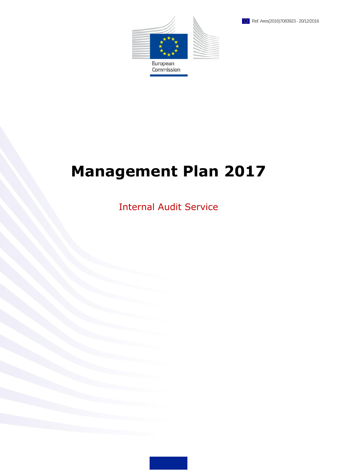



# **Management Plan 2017**

Internal Audit Service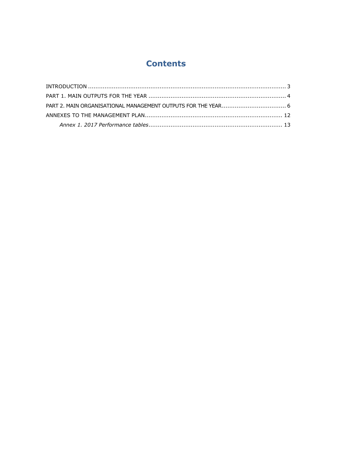# **Contents**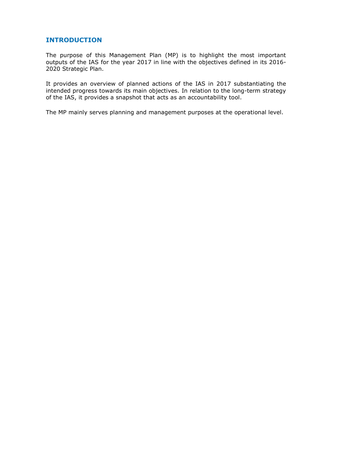# <span id="page-2-0"></span>**INTRODUCTION**

The purpose of this Management Plan (MP) is to highlight the most important outputs of the IAS for the year 2017 in line with the objectives defined in its 2016- 2020 Strategic Plan.

It provides an overview of planned actions of the IAS in 2017 substantiating the intended progress towards its main objectives. In relation to the long-term strategy of the IAS, it provides a snapshot that acts as an accountability tool.

The MP mainly serves planning and management purposes at the operational level.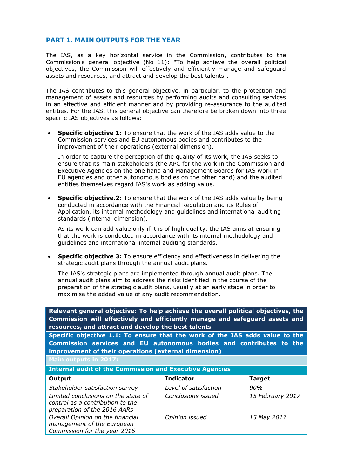# <span id="page-3-0"></span>**PART 1. MAIN OUTPUTS FOR THE YEAR**

The IAS, as a key horizontal service in the Commission, contributes to the Commission's general objective (No 11): "To help achieve the overall political objectives, the Commission will effectively and efficiently manage and safeguard assets and resources, and attract and develop the best talents".

The IAS contributes to this general objective, in particular, to the protection and management of assets and resources by performing audits and consulting services in an effective and efficient manner and by providing re-assurance to the audited entities. For the IAS, this general objective can therefore be broken down into three specific IAS objectives as follows:

 **Specific objective 1:** To ensure that the work of the IAS adds value to the Commission services and EU autonomous bodies and contributes to the improvement of their operations (external dimension).

In order to capture the perception of the quality of its work, the IAS seeks to ensure that its main stakeholders (the APC for the work in the Commission and Executive Agencies on the one hand and Management Boards for IAS work in EU agencies and other autonomous bodies on the other hand) and the audited entities themselves regard IAS's work as adding value.

**Specific objective.2:** To ensure that the work of the IAS adds value by being conducted in accordance with the Financial Regulation and its Rules of Application, its internal methodology and guidelines and international auditing standards (internal dimension).

As its work can add value only if it is of high quality, the IAS aims at ensuring that the work is conducted in accordance with its internal methodology and guidelines and international internal auditing standards.

 **Specific objective 3:** To ensure efficiency and effectiveness in delivering the strategic audit plans through the annual audit plans.

The IAS's strategic plans are implemented through annual audit plans. The annual audit plans aim to address the risks identified in the course of the preparation of the strategic audit plans, usually at an early stage in order to maximise the added value of any audit recommendation.

**Relevant general objective: To help achieve the overall political objectives, the Commission will effectively and efficiently manage and safeguard assets and resources, and attract and develop the best talents**

**Specific objective 1.1: To ensure that the work of the IAS adds value to the Commission services and EU autonomous bodies and contributes to the improvement of their operations (external dimension)**

**Main outputs in 2017:**

| <b>Internal audit of the Commission and Executive Agencies</b>                                          |                       |                  |
|---------------------------------------------------------------------------------------------------------|-----------------------|------------------|
| Output                                                                                                  | <b>Indicator</b>      | <b>Target</b>    |
| Stakeholder satisfaction survey                                                                         | Level of satisfaction | 90%              |
| Limited conclusions on the state of<br>control as a contribution to the<br>preparation of the 2016 AARs | Conclusions issued    | 15 February 2017 |
| Overall Opinion on the financial<br>management of the European<br>Commission for the year 2016          | Opinion issued        | 15 May 2017      |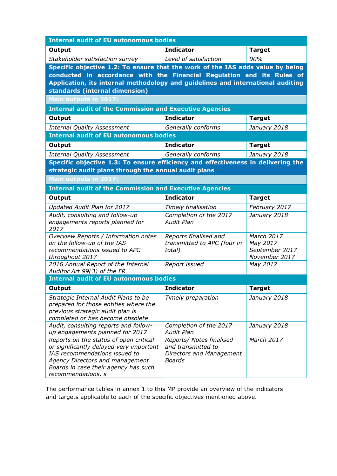| Output<br>Stakeholder satisfaction survey<br>Specific objective 1.2: To ensure that the work of the IAS adds value by being<br>conducted in accordance with the Financial Regulation and its Rules of<br>Application, its internal methodology and guidelines and international auditing<br>standards (internal dimension) | <b>Indicator</b><br>Level of satisfaction<br><b>Indicator</b> | <b>Target</b><br>90% |
|----------------------------------------------------------------------------------------------------------------------------------------------------------------------------------------------------------------------------------------------------------------------------------------------------------------------------|---------------------------------------------------------------|----------------------|
|                                                                                                                                                                                                                                                                                                                            |                                                               |                      |
|                                                                                                                                                                                                                                                                                                                            |                                                               |                      |
|                                                                                                                                                                                                                                                                                                                            |                                                               |                      |
|                                                                                                                                                                                                                                                                                                                            |                                                               |                      |
|                                                                                                                                                                                                                                                                                                                            |                                                               |                      |
|                                                                                                                                                                                                                                                                                                                            |                                                               |                      |
| <b>Main outputs in 2017:</b>                                                                                                                                                                                                                                                                                               |                                                               |                      |
| <b>Internal audit of the Commission and Executive Agencies</b>                                                                                                                                                                                                                                                             |                                                               |                      |
| Output                                                                                                                                                                                                                                                                                                                     |                                                               | <b>Target</b>        |
| <b>Internal Quality Assessment</b>                                                                                                                                                                                                                                                                                         | Generally conforms                                            | January 2018         |
| <b>Internal audit of EU autonomous bodies</b>                                                                                                                                                                                                                                                                              |                                                               |                      |
| Output                                                                                                                                                                                                                                                                                                                     | <b>Indicator</b>                                              | <b>Target</b>        |
| <b>Internal Quality Assessment</b>                                                                                                                                                                                                                                                                                         | Generally conforms                                            | January 2018         |
| Specific objective 1.3: To ensure efficiency and effectiveness in delivering the                                                                                                                                                                                                                                           |                                                               |                      |
| strategic audit plans through the annual audit plans                                                                                                                                                                                                                                                                       |                                                               |                      |
| <b>Main outputs in 2017:</b>                                                                                                                                                                                                                                                                                               |                                                               |                      |
| <b>Internal audit of the Commission and Executive Agencies</b>                                                                                                                                                                                                                                                             |                                                               |                      |
| Output                                                                                                                                                                                                                                                                                                                     | <b>Indicator</b>                                              | <b>Target</b>        |
| Updated Audit Plan for 2017                                                                                                                                                                                                                                                                                                | <b>Timely finalisation</b>                                    | February 2017        |
| Audit, consulting and follow-up                                                                                                                                                                                                                                                                                            | Completion of the 2017                                        | January 2018         |
| engagements reports planned for                                                                                                                                                                                                                                                                                            | <b>Audit Plan</b>                                             |                      |
| 2017<br>Overview Reports / Information notes                                                                                                                                                                                                                                                                               | Reports finalised and                                         | March 2017           |
| on the follow-up of the IAS                                                                                                                                                                                                                                                                                                | transmitted to APC (four in                                   | May 2017             |
| recommendations issued to APC                                                                                                                                                                                                                                                                                              | total)                                                        | September 2017       |
| throughout 2017                                                                                                                                                                                                                                                                                                            |                                                               | November 2017        |
| 2016 Annual Report of the Internal                                                                                                                                                                                                                                                                                         | Report issued                                                 | May 2017             |
| Auditor Art 99(3) of the FR                                                                                                                                                                                                                                                                                                |                                                               |                      |
| <b>Internal audit of EU autonomous bodies</b>                                                                                                                                                                                                                                                                              |                                                               |                      |
| Output                                                                                                                                                                                                                                                                                                                     | <b>Indicator</b>                                              | <b>Target</b>        |
| Strategic Internal Audit Plans to be                                                                                                                                                                                                                                                                                       | Timely preparation                                            | January 2018         |
| prepared for those entities where the                                                                                                                                                                                                                                                                                      |                                                               |                      |
| previous strategic audit plan is<br>completed or has become obsolete                                                                                                                                                                                                                                                       |                                                               |                      |
| Audit, consulting reports and follow-                                                                                                                                                                                                                                                                                      | Completion of the 2017                                        | January 2018         |
|                                                                                                                                                                                                                                                                                                                            | <b>Audit Plan</b>                                             |                      |
| Reports on the status of open critical                                                                                                                                                                                                                                                                                     | Reports/ Notes finalised                                      | March 2017           |
| or significantly delayed very important                                                                                                                                                                                                                                                                                    | and transmitted to                                            |                      |
| IAS recommendations issued to                                                                                                                                                                                                                                                                                              | Directors and Management                                      |                      |
|                                                                                                                                                                                                                                                                                                                            |                                                               |                      |
| recommendations. s                                                                                                                                                                                                                                                                                                         |                                                               |                      |
| up engagements planned for 2017<br>Agency Directors and management<br>Boards in case their agency has such                                                                                                                                                                                                                 | <b>Boards</b>                                                 |                      |

The performance tables in annex 1 to this MP provide an overview of the indicators and targets applicable to each of the specific objectives mentioned above.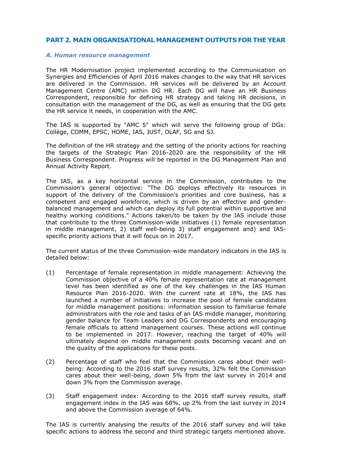#### <span id="page-5-0"></span>**PART 2. MAIN ORGANISATIONAL MANAGEMENT OUTPUTS FOR THE YEAR**

#### *A. Human resource management*

The HR Modernisation project implemented according to the Communication on Synergies and Efficiencies of April 2016 makes changes to the way that HR services are delivered in the Commission. HR services will be delivered by an Account Management Centre (AMC) within DG HR. Each DG will have an HR Business Correspondent, responsible for defining HR strategy and taking HR decisions, in consultation with the management of the DG, as well as ensuring that the DG gets the HR service it needs, in cooperation with the AMC.

The IAS is supported by "AMC 5" which will serve the following group of DGs: Collège, COMM, EPSC, HOME, IAS, JUST, OLAF, SG and SJ.

The definition of the HR strategy and the setting of the priority actions for reaching the targets of the Strategic Plan 2016-2020 are the responsibility of the HR Business Correspondent. Progress will be reported in the DG Management Plan and Annual Activity Report.

The IAS, as a key horizontal service in the Commission, contributes to the Commission's general objective: "The DG deploys effectively its resources in support of the delivery of the Commission's priorities and core business, has a competent and engaged workforce, which is driven by an effective and genderbalanced management and which can deploy its full potential within supportive and healthy working conditions." Actions taken/to be taken by the IAS include those that contribute to the three Commission-wide initiatives (1) female representation in middle management, 2) staff well-being 3) staff engagement and) and IASspecific priority actions that it will focus on in 2017.

The current status of the three Commission-wide mandatory indicators in the IAS is detailed below:

- (1) Percentage of female representation in middle management: Achieving the Commission objective of a 40% female representation rate at management level has been identified as one of the key challenges in the IAS Human Resource Plan 2016-2020. With the current rate at 18%, the IAS has launched a number of initiatives to increase the pool of female candidates for middle management positions: information session to familiarise female administrators with the role and tasks of an IAS middle manager, monitoring gender balance for Team Leaders and DG Correspondents and encouraging female officials to attend management courses. These actions will continue to be implemented in 2017. However, reaching the target of 40% will ultimately depend on middle management posts becoming vacant and on the quality of the applications for these posts.
- (2) Percentage of staff who feel that the Commission cares about their wellbeing: According to the 2016 staff survey results, 32% felt the Commission cares about their well-being, down 5% from the last survey in 2014 and down 3% from the Commission average.
- (3) Staff engagement index: According to the 2016 staff survey results, staff engagement index in the IAS was 68%, up 2% from the last survey in 2014 and above the Commission average of 64%.

The IAS is currently analysing the results of the 2016 staff survey and will take specific actions to address the second and third strategic targets mentioned above.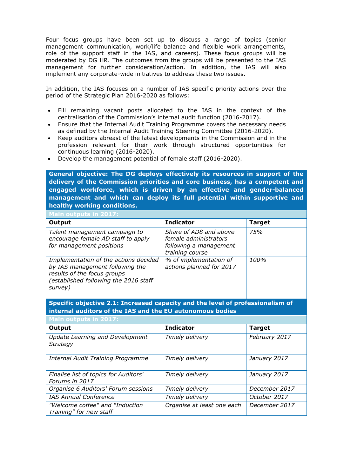Four focus groups have been set up to discuss a range of topics (senior management communication, work/life balance and flexible work arrangements, role of the support staff in the IAS, and careers). These focus groups will be moderated by DG HR. The outcomes from the groups will be presented to the IAS management for further consideration/action. In addition, the IAS will also implement any corporate-wide initiatives to address these two issues.

In addition, the IAS focuses on a number of IAS specific priority actions over the period of the Strategic Plan 2016-2020 as follows:

- Fill remaining vacant posts allocated to the IAS in the context of the centralisation of the Commission's internal audit function (2016-2017).
- Ensure that the Internal Audit Training Programme covers the necessary needs as defined by the Internal Audit Training Steering Committee (2016-2020).
- Keep auditors abreast of the latest developments in the Commission and in the profession relevant for their work through structured opportunities for continuous learning (2016-2020).
- Develop the management potential of female staff (2016-2020).

**General objective: The DG deploys effectively its resources in support of the delivery of the Commission priorities and core business, has a competent and engaged workforce, which is driven by an effective and gender-balanced management and which can deploy its full potential within supportive and healthy working conditions.**

| <b>Main outputs in 2017:</b>                                                                                                                                |                                                                                              |               |
|-------------------------------------------------------------------------------------------------------------------------------------------------------------|----------------------------------------------------------------------------------------------|---------------|
| Output                                                                                                                                                      | <b>Indicator</b>                                                                             | <b>Target</b> |
| Talent management campaign to<br>encourage female AD staff to apply<br>for management positions                                                             | Share of AD8 and above<br>female administrators<br>following a management<br>training course | <b>75%</b>    |
| Implementation of the actions decided<br>by IAS management following the<br>results of the focus groups<br>(established following the 2016 staff<br>survey) | % of implementation of<br>actions planned for 2017                                           | 100%          |
|                                                                                                                                                             |                                                                                              |               |

**Specific objective 2.1: Increased capacity and the level of professionalism of internal auditors of the IAS and the EU autonomous bodies**

| <b>Main outputs in 2017:</b>                               |                            |               |
|------------------------------------------------------------|----------------------------|---------------|
| Output                                                     | <b>Indicator</b>           | <b>Target</b> |
| <b>Update Learning and Development</b><br><b>Strategy</b>  | Timely delivery            | February 2017 |
| Internal Audit Training Programme                          | Timely delivery            | January 2017  |
| Finalise list of topics for Auditors'<br>Forums in 2017    | Timely delivery            | January 2017  |
| Organise 6 Auditors' Forum sessions                        | Timely delivery            | December 2017 |
| <b>IAS Annual Conference</b>                               | Timely delivery            | October 2017  |
| "Welcome coffee" and "Induction<br>Training" for new staff | Organise at least one each | December 2017 |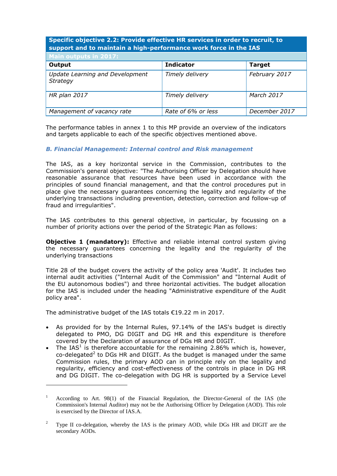# **Specific objective 2.2: Provide effective HR services in order to recruit, to support and to maintain a high-performance work force in the IAS**

| Main outputs in 2017:                       |                    |               |
|---------------------------------------------|--------------------|---------------|
| Output                                      | <b>Indicator</b>   | <b>Target</b> |
| Update Learning and Development<br>Strategy | Timely delivery    | February 2017 |
| <b>HR</b> plan 2017                         | Timely delivery    | March 2017    |
| Management of vacancy rate                  | Rate of 6% or less | December 2017 |

The performance tables in annex 1 to this MP provide an overview of the indicators and targets applicable to each of the specific objectives mentioned above.

#### *B. Financial Management: Internal control and Risk management*

The IAS, as a key horizontal service in the Commission, contributes to the Commission's general objective: "The Authorising Officer by Delegation should have reasonable assurance that resources have been used in accordance with the principles of sound financial management, and that the control procedures put in place give the necessary guarantees concerning the legality and regularity of the underlying transactions including prevention, detection, correction and follow-up of fraud and irregularities".

The IAS contributes to this general objective, in particular, by focussing on a number of priority actions over the period of the Strategic Plan as follows:

**Objective 1 (mandatory):** Effective and reliable internal control system giving the necessary guarantees concerning the legality and the regularity of the underlying transactions

Title 28 of the budget covers the activity of the policy area 'Audit'. It includes two internal audit activities ("Internal Audit of the Commission" and "Internal Audit of the EU autonomous bodies") and three horizontal activities. The budget allocation for the IAS is included under the heading "Administrative expenditure of the Audit policy area".

The administrative budget of the IAS totals €19.22 m in 2017.

 $\overline{a}$ 

- As provided for by the Internal Rules, 97.14% of the IAS's budget is directly delegated to PMO, DG DIGIT and DG HR and this expenditure is therefore covered by the Declaration of assurance of DGs HR and DIGIT.
- The IAS<sup>1</sup> is therefore accountable for the remaining 2.86% which is, however, co-delegated<sup>2</sup> to DGs HR and DIGIT. As the budget is managed under the same Commission rules, the primary AOD can in principle rely on the legality and regularity, efficiency and cost-effectiveness of the controls in place in DG HR and DG DIGIT. The co-delegation with DG HR is supported by a Service Level

<sup>1</sup> According to Art. 98(1) of the Financial Regulation, the Director-General of the IAS (the Commission's Internal Auditor) may not be the Authorising Officer by Delegation (AOD). This role is exercised by the Director of IAS.A.

<sup>&</sup>lt;sup>2</sup> Type II co-delegation, whereby the IAS is the primary AOD, while DGs HR and DIGIT are the secondary AODs.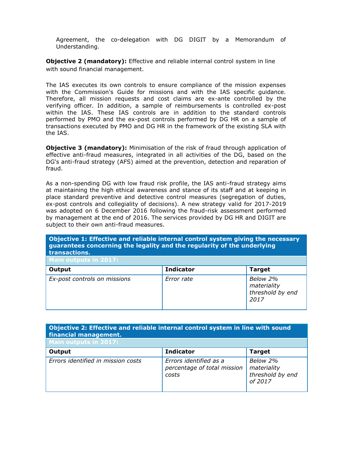Agreement, the co-delegation with DG DIGIT by a Memorandum of Understanding.

**Objective 2 (mandatory):** Effective and reliable internal control system in line with sound financial management.

The IAS executes its own controls to ensure compliance of the mission expenses with the Commission's Guide for missions and with the IAS specific guidance. Therefore, all mission requests and cost claims are ex-ante controlled by the verifying officer. In addition, a sample of reimbursements is controlled ex-post within the IAS. These IAS controls are in addition to the standard controls performed by PMO and the ex-post controls performed by DG HR on a sample of transactions executed by PMO and DG HR in the framework of the existing SLA with the IAS.

**Objective 3 (mandatory):** Minimisation of the risk of fraud through application of effective anti-fraud measures, integrated in all activities of the DG, based on the DG's anti-fraud strategy (AFS) aimed at the prevention, detection and reparation of fraud.

As a non-spending DG with low fraud risk profile, the IAS anti-fraud strategy aims at maintaining the high ethical awareness and stance of its staff and at keeping in place standard preventive and detective control measures (segregation of duties, ex-post controls and collegiality of decisions). A new strategy valid for 2017-2019 was adopted on 6 December 2016 following the fraud-risk assessment performed by management at the end of 2016. The services provided by DG HR and DIGIT are subject to their own anti-fraud measures.

# **Objective 1: Effective and reliable internal control system giving the necessary guarantees concerning the legality and the regularity of the underlying transactions.**

| Main outputs in 2017:        |                  |                                                     |
|------------------------------|------------------|-----------------------------------------------------|
| Output                       | <b>Indicator</b> | <b>Target</b>                                       |
| Ex-post controls on missions | Error rate       | Below 2%<br>materiality<br>threshold by end<br>2017 |

# **Objective 2: Effective and reliable internal control system in line with sound financial management.**

| Main outputs in 2017:              |                                                                |                                                        |
|------------------------------------|----------------------------------------------------------------|--------------------------------------------------------|
| Output                             | <b>Indicator</b>                                               | <b>Target</b>                                          |
| Errors identified in mission costs | Errors identified as a<br>percentage of total mission<br>costs | Below 2%<br>materiality<br>threshold by end<br>of 2017 |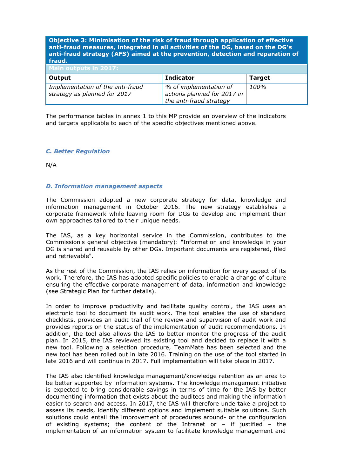#### **Objective 3: Minimisation of the risk of fraud through application of effective anti-fraud measures, integrated in all activities of the DG, based on the DG's anti-fraud strategy (AFS) aimed at the prevention, detection and reparation of fraud.**

| Main outputs in 2017:                                            |                                                                                  |               |
|------------------------------------------------------------------|----------------------------------------------------------------------------------|---------------|
| Output                                                           | <b>Indicator</b>                                                                 | <b>Target</b> |
| Implementation of the anti-fraud<br>strategy as planned for 2017 | % of implementation of<br>actions planned for 2017 in<br>the anti-fraud strategy | 100%          |

The performance tables in annex 1 to this MP provide an overview of the indicators and targets applicable to each of the specific objectives mentioned above.

#### *C. Better Regulation*

N/A

#### *D. Information management aspects*

The Commission adopted a new corporate strategy for data, knowledge and information management in October 2016. The new strategy establishes a corporate framework while leaving room for DGs to develop and implement their own approaches tailored to their unique needs.

The IAS, as a key horizontal service in the Commission, contributes to the Commission's general objective (mandatory): "Information and knowledge in your DG is shared and reusable by other DGs. Important documents are registered, filed and retrievable".

As the rest of the Commission, the IAS relies on information for every aspect of its work. Therefore, the IAS has adopted specific policies to enable a change of culture ensuring the effective corporate management of data, information and knowledge (see Strategic Plan for further details).

In order to improve productivity and facilitate quality control, the IAS uses an electronic tool to document its audit work. The tool enables the use of standard checklists, provides an audit trail of the review and supervision of audit work and provides reports on the status of the implementation of audit recommendations. In addition, the tool also allows the IAS to better monitor the progress of the audit plan. In 2015, the IAS reviewed its existing tool and decided to replace it with a new tool. Following a selection procedure, TeamMate has been selected and the new tool has been rolled out in late 2016. Training on the use of the tool started in late 2016 and will continue in 2017. Full implementation will take place in 2017.

The IAS also identified knowledge management/knowledge retention as an area to be better supported by information systems. The knowledge management initiative is expected to bring considerable savings in terms of time for the IAS by better documenting information that exists about the auditees and making the information easier to search and access. In 2017, the IAS will therefore undertake a project to assess its needs, identify different options and implement suitable solutions. Such solutions could entail the improvement of procedures around- or the configuration of existing systems; the content of the Intranet or  $-$  if justified  $-$  the implementation of an information system to facilitate knowledge management and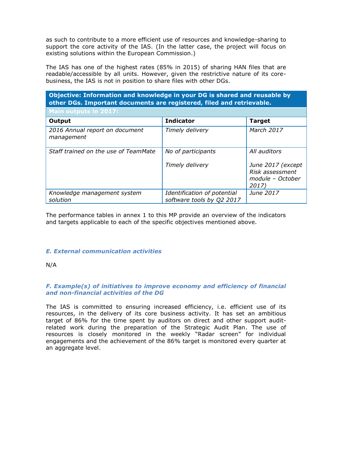as such to contribute to a more efficient use of resources and knowledge-sharing to support the core activity of the IAS. (In the latter case, the project will focus on existing solutions within the European Commission.)

The IAS has one of the highest rates (85% in 2015) of sharing HAN files that are readable/accessible by all units. However, given the restrictive nature of its corebusiness, the IAS is not in position to share files with other DGs.

| Objective: Information and knowledge in your DG is shared and reusable by<br>other DGs. Important documents are registered, filed and retrievable. |                                                          |                                                                   |
|----------------------------------------------------------------------------------------------------------------------------------------------------|----------------------------------------------------------|-------------------------------------------------------------------|
| <b>Main outputs in 2017:</b>                                                                                                                       |                                                          |                                                                   |
| Output                                                                                                                                             | <b>Indicator</b>                                         | <b>Target</b>                                                     |
| 2016 Annual report on document<br>management                                                                                                       | Timely delivery                                          | March 2017                                                        |
| Staff trained on the use of TeamMate                                                                                                               | No of participants                                       | All auditors                                                      |
|                                                                                                                                                    | Timely delivery                                          | June 2017 (except<br>Risk assessment<br>module - October<br>2017) |
| Knowledge management system<br>solution                                                                                                            | Identification of potential<br>software tools by Q2 2017 | June 2017                                                         |

The performance tables in annex 1 to this MP provide an overview of the indicators and targets applicable to each of the specific objectives mentioned above.

# *E. External communication activities*

N/A

#### *F. Example(s) of initiatives to improve economy and efficiency of financial and non-financial activities of the DG*

The IAS is committed to ensuring increased efficiency, i.e. efficient use of its resources, in the delivery of its core business activity. It has set an ambitious target of 86% for the time spent by auditors on direct and other support auditrelated work during the preparation of the Strategic Audit Plan. The use of resources is closely monitored in the weekly "Radar screen" for individual engagements and the achievement of the 86% target is monitored every quarter at an aggregate level.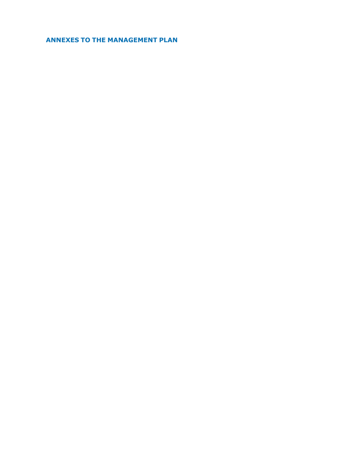<span id="page-11-0"></span>**ANNEXES TO THE MANAGEMENT PLAN**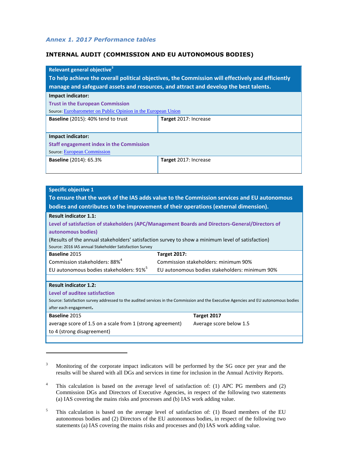#### <span id="page-12-0"></span>*Annex 1. 2017 Performance tables*

 $\overline{a}$ 

#### **INTERNAL AUDIT (COMMISSION AND EU AUTONOMOUS BODIES)**

| Relevant general objective <sup>3</sup>                                                           |                                                                                      |  |
|---------------------------------------------------------------------------------------------------|--------------------------------------------------------------------------------------|--|
| To help achieve the overall political objectives, the Commission will effectively and efficiently |                                                                                      |  |
|                                                                                                   | manage and safeguard assets and resources, and attract and develop the best talents. |  |
| Impact indicator:                                                                                 |                                                                                      |  |
| <b>Trust in the European Commission</b>                                                           |                                                                                      |  |
| Source: Eurobarometer on Public Opinion in the European Union                                     |                                                                                      |  |
| <b>Baseline</b> (2015): 40% tend to trust                                                         | Target 2017: Increase                                                                |  |
|                                                                                                   |                                                                                      |  |
| Impact indicator:                                                                                 |                                                                                      |  |
| <b>Staff engagement index in the Commission</b>                                                   |                                                                                      |  |
| <b>Source: European Commission</b>                                                                |                                                                                      |  |
| <b>Baseline</b> (2014): 65.3%                                                                     | Target 2017: Increase                                                                |  |
|                                                                                                   |                                                                                      |  |

| <b>Specific objective 1</b>                                                                                                         |                                                                                                   |  |
|-------------------------------------------------------------------------------------------------------------------------------------|---------------------------------------------------------------------------------------------------|--|
| To ensure that the work of the IAS adds value to the Commission services and EU autonomous                                          |                                                                                                   |  |
|                                                                                                                                     | bodies and contributes to the improvement of their operations (external dimension).               |  |
| <b>Result indicator 1.1:</b>                                                                                                        |                                                                                                   |  |
|                                                                                                                                     | Level of satisfaction of stakeholders (APC/Management Boards and Directors-General/Directors of   |  |
| autonomous bodies)                                                                                                                  |                                                                                                   |  |
|                                                                                                                                     | (Results of the annual stakeholders' satisfaction survey to show a minimum level of satisfaction) |  |
| Source: 2016 IAS annual Stakeholder Satisfaction Survey                                                                             |                                                                                                   |  |
| <b>Baseline 2015</b>                                                                                                                | <b>Target 2017:</b>                                                                               |  |
| Commission stakeholders: 88% <sup>4</sup>                                                                                           | Commission stakeholders: minimum 90%                                                              |  |
| EU autonomous bodies stakeholders: 91% <sup>5</sup>                                                                                 | EU autonomous bodies stakeholders: minimum 90%                                                    |  |
|                                                                                                                                     |                                                                                                   |  |
| <b>Result indicator 1.2:</b>                                                                                                        |                                                                                                   |  |
| Level of auditee satisfaction                                                                                                       |                                                                                                   |  |
| Source: Satisfaction survey addressed to the audited services in the Commission and the Executive Agencies and EU autonomous bodies |                                                                                                   |  |
| after each engagement.                                                                                                              |                                                                                                   |  |
| Baseline 2015                                                                                                                       | Target 2017                                                                                       |  |
| average score of 1.5 on a scale from 1 (strong agreement)<br>Average score below 1.5                                                |                                                                                                   |  |
| to 4 (strong disagreement)                                                                                                          |                                                                                                   |  |
|                                                                                                                                     |                                                                                                   |  |

<sup>&</sup>lt;sup>3</sup> Monitoring of the corporate impact indicators will be performed by the SG once per year and the results will be shared with all DGs and services in time for inclusion in the Annual Activity Reports.

<sup>&</sup>lt;sup>4</sup> This calculation is based on the average level of satisfaction of: (1) APC PG members and (2) Commission DGs and Directors of Executive Agencies, in respect of the following two statements (a) IAS covering the mains risks and processes and (b) IAS work adding value.

 $5$  This calculation is based on the average level of satisfaction of: (1) Board members of the EU autonomous bodies and (2) Directors of the EU autonomous bodies, in respect of the following two statements (a) IAS covering the mains risks and processes and (b) IAS work adding value.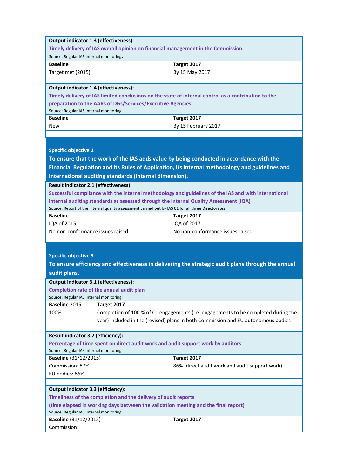| Output indicator 1.3 (effectiveness):                                              |                                                                                                    |                                                                                                      |  |
|------------------------------------------------------------------------------------|----------------------------------------------------------------------------------------------------|------------------------------------------------------------------------------------------------------|--|
| Timely delivery of IAS overall opinion on financial management in the Commission   |                                                                                                    |                                                                                                      |  |
| Source: Regular IAS internal monitoring.                                           |                                                                                                    |                                                                                                      |  |
| <b>Baseline</b>                                                                    |                                                                                                    | Target 2017                                                                                          |  |
| Target met (2015)                                                                  |                                                                                                    | By 15 May 2017                                                                                       |  |
|                                                                                    |                                                                                                    |                                                                                                      |  |
| Output indicator 1.4 (effectiveness):                                              |                                                                                                    |                                                                                                      |  |
|                                                                                    |                                                                                                    | Timely delivery of IAS limited conclusions on the state of internal control as a contribution to the |  |
|                                                                                    | preparation to the AARs of DGs/Services/Executive Agencies                                         |                                                                                                      |  |
| Source: Regular IAS internal monitoring.<br><b>Baseline</b>                        |                                                                                                    |                                                                                                      |  |
| <b>New</b>                                                                         |                                                                                                    | Target 2017                                                                                          |  |
|                                                                                    |                                                                                                    | By 15 February 2017                                                                                  |  |
|                                                                                    |                                                                                                    |                                                                                                      |  |
|                                                                                    |                                                                                                    |                                                                                                      |  |
| <b>Specific objective 2</b>                                                        |                                                                                                    |                                                                                                      |  |
|                                                                                    |                                                                                                    | To ensure that the work of the IAS adds value by being conducted in accordance with the              |  |
|                                                                                    |                                                                                                    | Financial Regulation and its Rules of Application, its internal methodology and guidelines and       |  |
|                                                                                    | international auditing standards (internal dimension).                                             |                                                                                                      |  |
| Result indicator 2.1 (effectiveness):                                              |                                                                                                    |                                                                                                      |  |
|                                                                                    |                                                                                                    | Successful compliance with the internal methodology and guidelines of the IAS and with international |  |
|                                                                                    | internal auditing standards as assessed through the Internal Quality Assessment (IQA)              |                                                                                                      |  |
|                                                                                    | Source: Report of the internal quality assessment carried out by IAS 01 for all three Directorates |                                                                                                      |  |
| <b>Baseline</b>                                                                    |                                                                                                    | Target 2017                                                                                          |  |
| IQA of 2015                                                                        |                                                                                                    | IQA of 2017                                                                                          |  |
| No non-conformance issues raised                                                   |                                                                                                    | No non-conformance issues raised                                                                     |  |
|                                                                                    |                                                                                                    |                                                                                                      |  |
|                                                                                    |                                                                                                    |                                                                                                      |  |
| <b>Specific objective 3</b>                                                        |                                                                                                    |                                                                                                      |  |
|                                                                                    |                                                                                                    | To ensure efficiency and effectiveness in delivering the strategic audit plans through the annual    |  |
| audit plans.                                                                       |                                                                                                    |                                                                                                      |  |
| Output indicator 3.1 (effectiveness):                                              |                                                                                                    |                                                                                                      |  |
|                                                                                    | Completion rate of the annual audit plan                                                           |                                                                                                      |  |
| Source: Regular IAS internal monitoring.                                           |                                                                                                    |                                                                                                      |  |
| <b>Baseline 2015</b>                                                               | Target 2017                                                                                        |                                                                                                      |  |
| 100%                                                                               |                                                                                                    | Completion of 100 % of C1 engagements (i.e. engagements to be completed during the                   |  |
|                                                                                    |                                                                                                    | year) included in the (revised) plans in both Commission and EU autonomous bodies                    |  |
|                                                                                    |                                                                                                    |                                                                                                      |  |
| Result indicator 3.2 (efficiency):                                                 |                                                                                                    |                                                                                                      |  |
|                                                                                    | Percentage of time spent on direct audit work and audit support work by auditors                   |                                                                                                      |  |
| Source: Regular IAS internal monitoring.                                           |                                                                                                    |                                                                                                      |  |
| <b>Baseline</b> (31/12/2015)                                                       |                                                                                                    | Target 2017                                                                                          |  |
| Commission: 87%                                                                    |                                                                                                    | 86% (direct audit work and audit support work)                                                       |  |
| EU bodies: 86%                                                                     |                                                                                                    |                                                                                                      |  |
|                                                                                    |                                                                                                    |                                                                                                      |  |
| Output indicator 3.3 (efficiency):                                                 |                                                                                                    |                                                                                                      |  |
| Timeliness of the completion and the delivery of audit reports                     |                                                                                                    |                                                                                                      |  |
| (time elapsed in working days between the validation meeting and the final report) |                                                                                                    |                                                                                                      |  |
|                                                                                    |                                                                                                    |                                                                                                      |  |
| Source: Regular IAS internal monitoring.                                           |                                                                                                    |                                                                                                      |  |
| <b>Baseline</b> (31/12/2015)<br>Commission:                                        |                                                                                                    | Target 2017                                                                                          |  |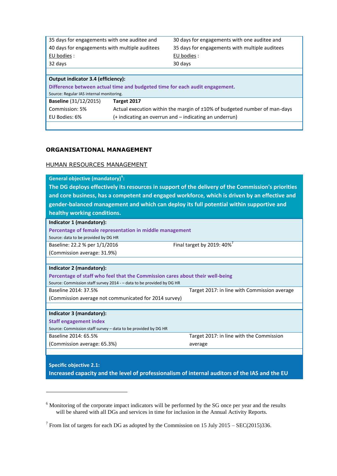| 35 days for engagements with one auditee and   |             | 30 days for engagements with one auditee and                                |
|------------------------------------------------|-------------|-----------------------------------------------------------------------------|
| 40 days for engagements with multiple auditees |             | 35 days for engagements with multiple auditees                              |
| EU bodies :                                    |             | EU bodies :                                                                 |
| 32 days                                        |             | 30 days                                                                     |
|                                                |             |                                                                             |
| Output indicator 3.4 (efficiency):             |             |                                                                             |
|                                                |             |                                                                             |
|                                                |             | Difference between actual time and budgeted time for each audit engagement. |
| Source: Regular IAS internal monitoring.       |             |                                                                             |
| <b>Baseline</b> (31/12/2015)                   | Target 2017 |                                                                             |

(+ indicating an overrun and – indicating an underrun)

#### **ORGANISATIONAL MANAGEMENT**

EU Bodies: 6%

 $\overline{a}$ 

## HUMAN RESOURCES MANAGEMENT

| General objective (mandatory) <sup>6</sup> :                                                       |                                              |  |  |  |
|----------------------------------------------------------------------------------------------------|----------------------------------------------|--|--|--|
| The DG deploys effectively its resources in support of the delivery of the Commission's priorities |                                              |  |  |  |
| and core business, has a competent and engaged workforce, which is driven by an effective and      |                                              |  |  |  |
| gender-balanced management and which can deploy its full potential within supportive and           |                                              |  |  |  |
| healthy working conditions.                                                                        |                                              |  |  |  |
| Indicator 1 (mandatory):                                                                           |                                              |  |  |  |
|                                                                                                    |                                              |  |  |  |
| Percentage of female representation in middle management                                           |                                              |  |  |  |
| Source: data to be provided by DG HR                                                               |                                              |  |  |  |
| Final target by 2019: 40% <sup>7</sup><br>Baseline: 22.2 % per 1/1/2016                            |                                              |  |  |  |
| (Commission average: 31.9%)                                                                        |                                              |  |  |  |
|                                                                                                    |                                              |  |  |  |
| Indicator 2 (mandatory):                                                                           |                                              |  |  |  |
| Percentage of staff who feel that the Commission cares about their well-being                      |                                              |  |  |  |
| Source: Commission staff survey 2014 - - data to be provided by DG HR                              |                                              |  |  |  |
| Baseline 2014: 37.5%                                                                               | Target 2017: in line with Commission average |  |  |  |
| (Commission average not communicated for 2014 survey)                                              |                                              |  |  |  |
|                                                                                                    |                                              |  |  |  |
| Indicator 3 (mandatory):                                                                           |                                              |  |  |  |
| <b>Staff engagement index</b>                                                                      |                                              |  |  |  |
| Source: Commission staff survey - data to be provided by DG HR                                     |                                              |  |  |  |
| Baseline 2014: 65.5%                                                                               | Target 2017: in line with the Commission     |  |  |  |
| (Commission average: 65.3%)                                                                        | average                                      |  |  |  |
|                                                                                                    |                                              |  |  |  |
|                                                                                                    |                                              |  |  |  |
| <b>Specific objective 2.1:</b>                                                                     |                                              |  |  |  |

**Increased capacity and the level of professionalism of internal auditors of the IAS and the EU** 

<sup>&</sup>lt;sup>6</sup> Monitoring of the corporate impact indicators will be performed by the SG once per year and the results will be shared with all DGs and services in time for inclusion in the Annual Activity Reports.

<sup>&</sup>lt;sup>7</sup> From list of targets for each DG as adopted by the Commission on 15 July 2015 – SEC(2015)336.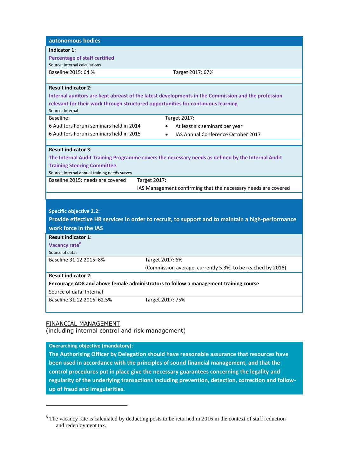| autonomous bodies                                                                    |                                                                                                    |  |
|--------------------------------------------------------------------------------------|----------------------------------------------------------------------------------------------------|--|
| Indicator 1:                                                                         |                                                                                                    |  |
| <b>Percentage of staff certified</b>                                                 |                                                                                                    |  |
| Source: Internal calculations                                                        |                                                                                                    |  |
| Baseline 2015: 64 %                                                                  | Target 2017: 67%                                                                                   |  |
|                                                                                      |                                                                                                    |  |
| <b>Result indicator 2:</b>                                                           |                                                                                                    |  |
|                                                                                      | Internal auditors are kept abreast of the latest developments in the Commission and the profession |  |
|                                                                                      | relevant for their work through structured opportunities for continuous learning                   |  |
| Source: Internal                                                                     |                                                                                                    |  |
| Baseline:                                                                            | <b>Target 2017:</b>                                                                                |  |
| 6 Auditors Forum seminars held in 2014                                               | At least six seminars per year                                                                     |  |
| 6 Auditors Forum seminars held in 2015                                               | IAS Annual Conference October 2017                                                                 |  |
|                                                                                      |                                                                                                    |  |
| <b>Result indicator 3:</b>                                                           |                                                                                                    |  |
|                                                                                      | The Internal Audit Training Programme covers the necessary needs as defined by the Internal Audit  |  |
| <b>Training Steering Committee</b>                                                   |                                                                                                    |  |
| Source: Internal annual training needs survey                                        |                                                                                                    |  |
| Baseline 2015: needs are covered                                                     | <b>Target 2017:</b>                                                                                |  |
|                                                                                      | IAS Management confirming that the necessary needs are covered                                     |  |
|                                                                                      |                                                                                                    |  |
|                                                                                      |                                                                                                    |  |
| <b>Specific objective 2.2:</b>                                                       |                                                                                                    |  |
|                                                                                      | Provide effective HR services in order to recruit, to support and to maintain a high-performance   |  |
| work force in the IAS                                                                |                                                                                                    |  |
| <b>Result indicator 1:</b>                                                           |                                                                                                    |  |
| Vacancy rate <sup>8</sup>                                                            |                                                                                                    |  |
| Source of data:                                                                      |                                                                                                    |  |
| Baseline 31.12.2015: 8%                                                              | Target 2017: 6%                                                                                    |  |
|                                                                                      | (Commission average, currently 5.3%, to be reached by 2018)                                        |  |
| <b>Result indicator 2:</b>                                                           |                                                                                                    |  |
| Encourage AD8 and above female administrators to follow a management training course |                                                                                                    |  |
| Source of data: Internal                                                             |                                                                                                    |  |
| Baseline 31.12.2016: 62.5%                                                           | Target 2017: 75%                                                                                   |  |
|                                                                                      |                                                                                                    |  |
|                                                                                      |                                                                                                    |  |

# FINANCIAL MANAGEMENT

 $\overline{a}$ 

(including internal control and risk management)

# **Overarching objective (mandatory):**

**The Authorising Officer by Delegation should have reasonable assurance that resources have been used in accordance with the principles of sound financial management, and that the control procedures put in place give the necessary guarantees concerning the legality and regularity of the underlying transactions including prevention, detection, correction and followup of fraud and irregularities.**

<sup>&</sup>lt;sup>8</sup> The vacancy rate is calculated by deducting posts to be returned in 2016 in the context of staff reduction and redeployment tax.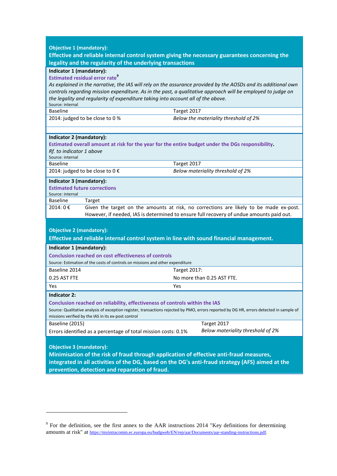| <b>Objective 1 (mandatory):</b>                                                                                                                                                                 |                                                                                                                |  |
|-------------------------------------------------------------------------------------------------------------------------------------------------------------------------------------------------|----------------------------------------------------------------------------------------------------------------|--|
| Effective and reliable internal control system giving the necessary guarantees concerning the<br>legality and the regularity of the underlying transactions                                     |                                                                                                                |  |
| Indicator 1 (mandatory):                                                                                                                                                                        |                                                                                                                |  |
| <b>Estimated residual error rate</b> <sup>9</sup>                                                                                                                                               |                                                                                                                |  |
|                                                                                                                                                                                                 | As explained in the narrative, the IAS will rely on the assurance provided by the AOSDs and its additional own |  |
|                                                                                                                                                                                                 | controls regarding mission expenditure. As in the past, a qualitative approach will be employed to judge on    |  |
| Source: internal                                                                                                                                                                                | the legality and regularity of expenditure taking into account all of the above.                               |  |
| <b>Baseline</b>                                                                                                                                                                                 | Target 2017                                                                                                    |  |
| 2014: judged to be close to 0 %                                                                                                                                                                 | Below the materiality threshold of 2%                                                                          |  |
|                                                                                                                                                                                                 |                                                                                                                |  |
| Indicator 2 (mandatory):                                                                                                                                                                        |                                                                                                                |  |
|                                                                                                                                                                                                 | Estimated overall amount at risk for the year for the entire budget under the DGs responsibility.              |  |
| Rf. to indicator 1 above<br>Source: internal                                                                                                                                                    |                                                                                                                |  |
| <b>Baseline</b>                                                                                                                                                                                 | Target 2017                                                                                                    |  |
| 2014: judged to be close to 0 €                                                                                                                                                                 | Below materiality threshold of 2%                                                                              |  |
| Indicator 3 (mandatory):                                                                                                                                                                        |                                                                                                                |  |
| <b>Estimated future corrections</b><br>Source: internal                                                                                                                                         |                                                                                                                |  |
| <b>Baseline</b><br>Target                                                                                                                                                                       |                                                                                                                |  |
| Given the target on the amounts at risk, no corrections are likely to be made ex-post.<br>2014: 0€<br>However, if needed, IAS is determined to ensure full recovery of undue amounts paid out.  |                                                                                                                |  |
| <b>Objective 2 (mandatory):</b>                                                                                                                                                                 |                                                                                                                |  |
|                                                                                                                                                                                                 | Effective and reliable internal control system in line with sound financial management.                        |  |
| Indicator 1 (mandatory):                                                                                                                                                                        |                                                                                                                |  |
|                                                                                                                                                                                                 | <b>Conclusion reached on cost effectiveness of controls</b>                                                    |  |
|                                                                                                                                                                                                 | Source: Estimation of the costs of controls on missions and other expenditure                                  |  |
| Baseline 2014                                                                                                                                                                                   | <b>Target 2017:</b>                                                                                            |  |
| 0.25 AST FTE                                                                                                                                                                                    | No more than 0.25 AST FTE.                                                                                     |  |
| Yes                                                                                                                                                                                             | Yes                                                                                                            |  |
| <b>Indicator 2:</b>                                                                                                                                                                             |                                                                                                                |  |
| Conclusion reached on reliability, effectiveness of controls within the IAS                                                                                                                     |                                                                                                                |  |
| Source: Qualitative analysis of exception register, transactions rejected by PMO, errors reported by DG HR, errors detected in sample of<br>missions verified by the IAS in its ex-post control |                                                                                                                |  |
| Baseline (2015)                                                                                                                                                                                 | Target 2017                                                                                                    |  |
|                                                                                                                                                                                                 | Below materiality threshold of 2%<br>Errors identified as a percentage of total mission costs: 0.1%            |  |
| <b>Objective 3 (mandatory):</b>                                                                                                                                                                 |                                                                                                                |  |
| Minimisation of the risk of fraud through application of effective anti-fraud measures,                                                                                                         |                                                                                                                |  |
| integrated in all activities of the DG, based on the DG's anti-fraud strategy (AFS) aimed at the                                                                                                |                                                                                                                |  |
| prevention, detection and reparation of fraud.                                                                                                                                                  |                                                                                                                |  |

 $\overline{a}$ 

 $9^9$  For the definition, see the first annex to the AAR instructions 2014 "Key definitions for determining amounts at risk" at [https://myintracomm.ec.europa.eu/budgweb/EN/rep/aar/Documents/aar-standing-instructions.pdf.](https://myintracomm.ec.europa.eu/budgweb/EN/rep/aar/Documents/aar-standing-instructions.pdf)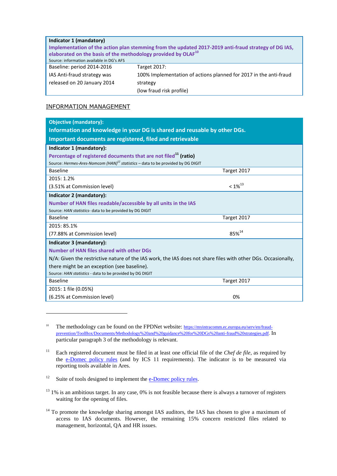#### **Indicator 1 (mandatory)**

**Implementation of the action plan stemming from the updated 2017-2019 anti-fraud strategy of DG IAS, elaborated on the basis of the methodology provided by OLAF<sup>10</sup>** Source: information available in DG's AFS

Baseline: period 2014-2016

IAS Anti-fraud strategy was released on 20 January 2014

 $\overline{a}$ 

Target 2017: 100% Implementation of actions planned for 2017 in the anti-fraud strategy (low fraud risk profile)

# INFORMATION MANAGEMENT

| <b>Objective (mandatory):</b>                                                                                 |                   |  |
|---------------------------------------------------------------------------------------------------------------|-------------------|--|
| Information and knowledge in your DG is shared and reusable by other DGs.                                     |                   |  |
| Important documents are registered, filed and retrievable                                                     |                   |  |
| Indicator 1 (mandatory):                                                                                      |                   |  |
| Percentage of registered documents that are not filed <sup>11</sup> (ratio)                                   |                   |  |
| Source: Hermes-Ares-Nomcom (HAN) <sup>12</sup> statistics - data to be provided by DG DIGIT                   |                   |  |
| <b>Baseline</b>                                                                                               | Target 2017       |  |
| 2015: 1.2%                                                                                                    |                   |  |
| (3.51% at Commission level)                                                                                   | $< 1\%^{13}$      |  |
| Indicator 2 (mandatory):                                                                                      |                   |  |
| Number of HAN files readable/accessible by all units in the IAS                                               |                   |  |
| Source: HAN statistics- data to be provided by DG DIGIT                                                       |                   |  |
| <b>Baseline</b>                                                                                               | Target 2017       |  |
| 2015: 85.1%                                                                                                   |                   |  |
| (77.88% at Commission level)                                                                                  | 85% <sup>14</sup> |  |
| Indicator 3 (mandatory):                                                                                      |                   |  |
| Number of HAN files shared with other DGs                                                                     |                   |  |
| N/A: Given the restrictive nature of the IAS work, the IAS does not share files with other DGs. Occasionally, |                   |  |
| there might be an exception (see baseline).                                                                   |                   |  |
| Source: HAN statistics - data to be provided by DG DIGIT                                                      |                   |  |
| <b>Baseline</b>                                                                                               | Target 2017       |  |
| 2015: 1 file (0.05%)                                                                                          |                   |  |
| (6.25% at Commission level)                                                                                   | 0%                |  |

<sup>&</sup>lt;sup>10</sup> The methodology can be found on the FPDNet website: [https://myintracomm.ec.europa.eu/serv/en/fraud](https://myintracomm.ec.europa.eu/serv/en/fraud-prevention/ToolBox/Documents/Methodology%20and%20guidance%20for%20DGs%20anti-fraud%20strategies.pdf)[prevention/ToolBox/Documents/Methodology%20and%20guidance%20for%20DGs%20anti-fraud%20strategies.pdf.](https://myintracomm.ec.europa.eu/serv/en/fraud-prevention/ToolBox/Documents/Methodology%20and%20guidance%20for%20DGs%20anti-fraud%20strategies.pdf) In particular paragraph 3 of the methodology is relevant.

<sup>12</sup> Suite of tools designed to implement the  $e$ -Domec policy rules.

<sup>&</sup>lt;sup>11</sup> Each registered document must be filed in at least one official file of the *Chef de file*, as required by the [e-Domec policy rules](https://myintracomm.ec.europa.eu/corp/sg/en/edomec/doc_management/Documents/recueil_dec_mda_en.pdf) (and by ICS 11 requirements). The indicator is to be measured via reporting tools available in Ares.

<sup>&</sup>lt;sup>13</sup> 1% is an ambitious target. In any case, 0% is not feasible because there is always a turnover of registers waiting for the opening of files.

 $14$  To promote the knowledge sharing amongst IAS auditors, the IAS has chosen to give a maximum of access to IAS documents. However, the remaining 15% concern restricted files related to management, horizontal, QA and HR issues.